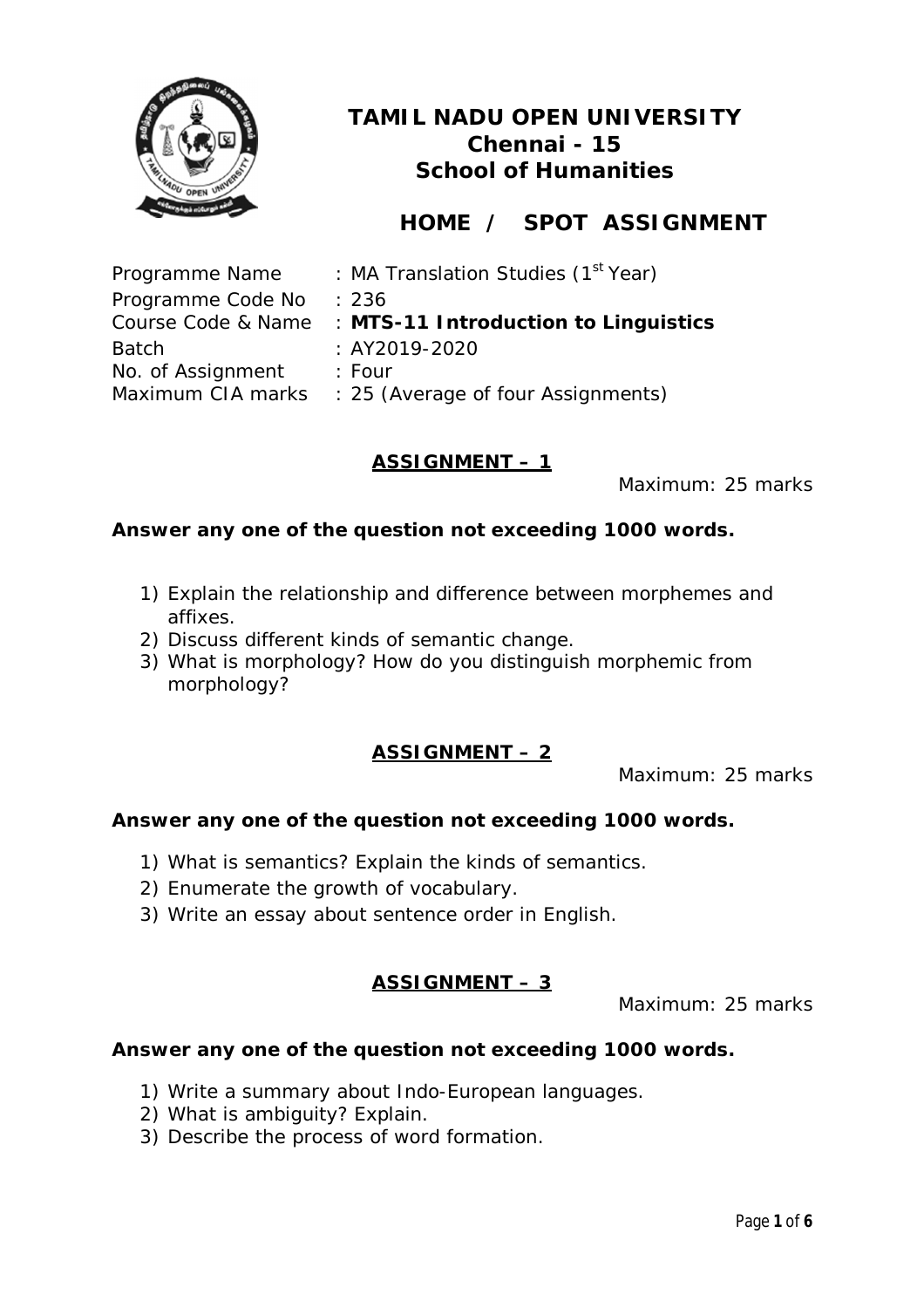

# **HOME / SPOT ASSIGNMENT**

| Programme Name    | : MA Translation Studies (1 <sup>st</sup> Year)         |
|-------------------|---------------------------------------------------------|
| Programme Code No | : 236                                                   |
|                   | Course Code & Name : MTS-11 Introduction to Linguistics |
| <b>Batch</b>      | $: AY2019-2020$                                         |
| No. of Assignment | : Four                                                  |
|                   | Maximum CIA marks : 25 (Average of four Assignments)    |

### **ASSIGNMENT – 1**

Maximum: 25 marks

#### **Answer any one of the question not exceeding 1000 words.**

- 1) Explain the relationship and difference between morphemes and affixes.
- 2) Discuss different kinds of semantic change.
- 3) What is morphology? How do you distinguish morphemic from morphology?

### **ASSIGNMENT – 2**

Maximum: 25 marks

#### **Answer any one of the question not exceeding 1000 words.**

- 1) What is semantics? Explain the kinds of semantics.
- 2) Enumerate the growth of vocabulary.
- 3) Write an essay about sentence order in English.

### **ASSIGNMENT – 3**

Maximum: 25 marks

- 1) Write a summary about Indo-European languages.
- 2) What is ambiguity? Explain.
- 3) Describe the process of word formation.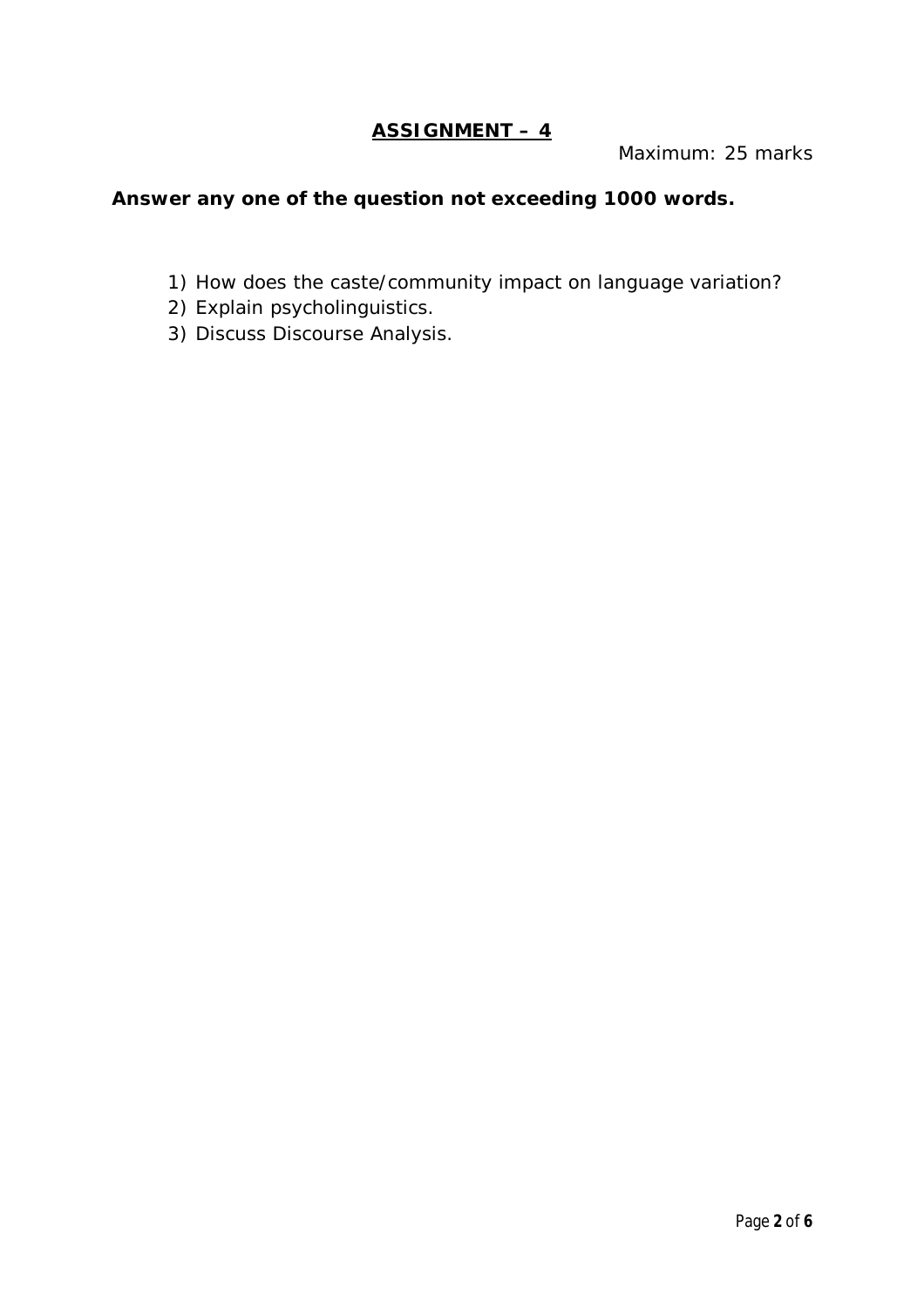## **ASSIGNMENT – 4**

Maximum: 25 marks

- 1) How does the caste/community impact on language variation?
- 2) Explain psycholinguistics.
- 3) Discuss Discourse Analysis.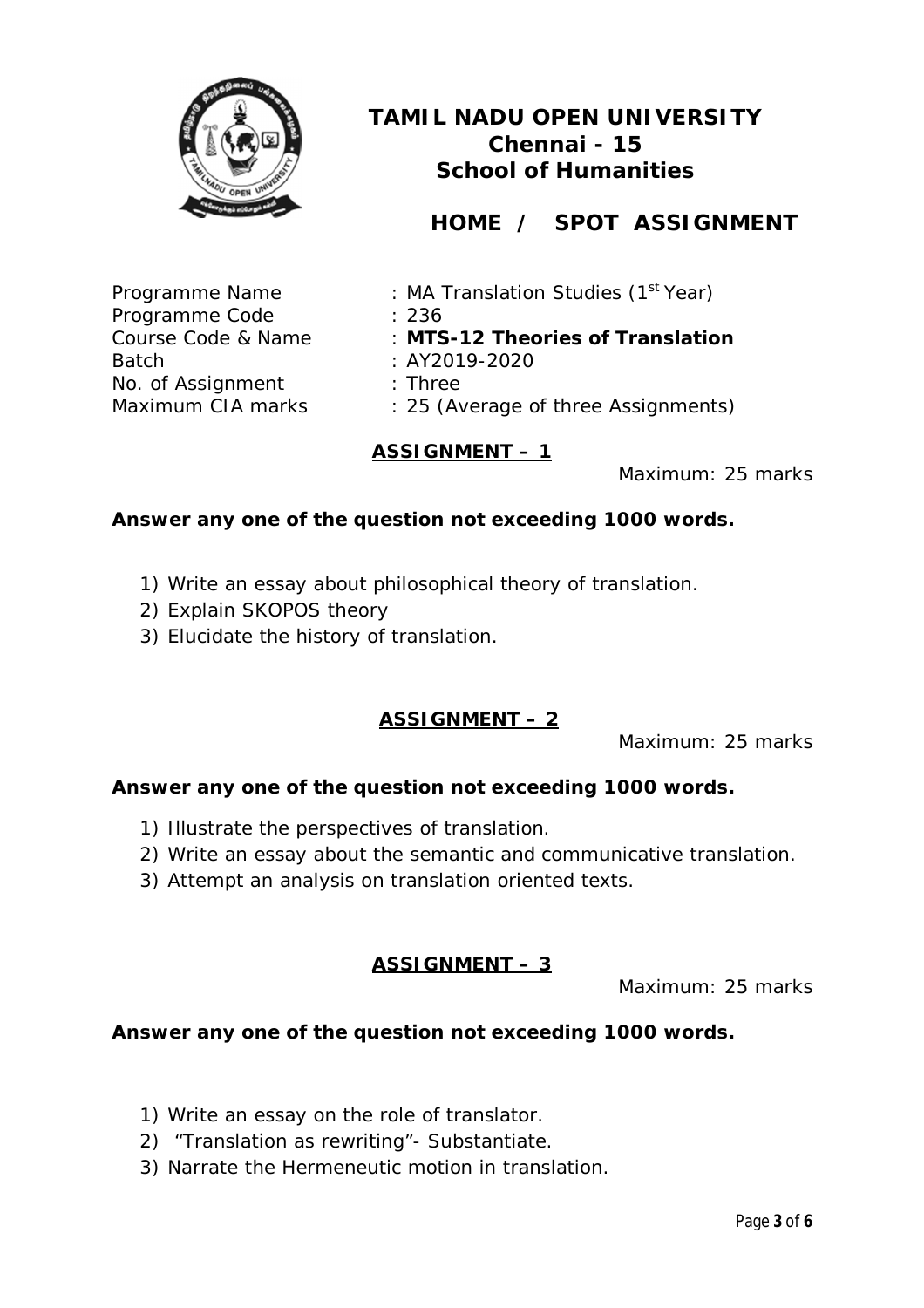

# **HOME / SPOT ASSIGNMENT**

Programme Code : 236 Batch : AY2019-2020 No. of Assignment : Three

- Programme Name : MA Translation Studies (1<sup>st</sup> Year)
	-
- Course Code & Name : **MTS-12 Theories of Translation** 
	-
	-
- Maximum CIA marks : 25 (Average of three Assignments)

### **ASSIGNMENT – 1**

Maximum: 25 marks

#### **Answer any one of the question not exceeding 1000 words.**

- 1) Write an essay about philosophical theory of translation.
- 2) Explain SKOPOS theory
- 3) Elucidate the history of translation.

### **ASSIGNMENT – 2**

Maximum: 25 marks

#### **Answer any one of the question not exceeding 1000 words.**

- 1) Illustrate the perspectives of translation.
- 2) Write an essay about the semantic and communicative translation.
- 3) Attempt an analysis on translation oriented texts.

### **ASSIGNMENT – 3**

Maximum: 25 marks

- 1) Write an essay on the role of translator.
- 2) "Translation as rewriting"- Substantiate.
- 3) Narrate the Hermeneutic motion in translation.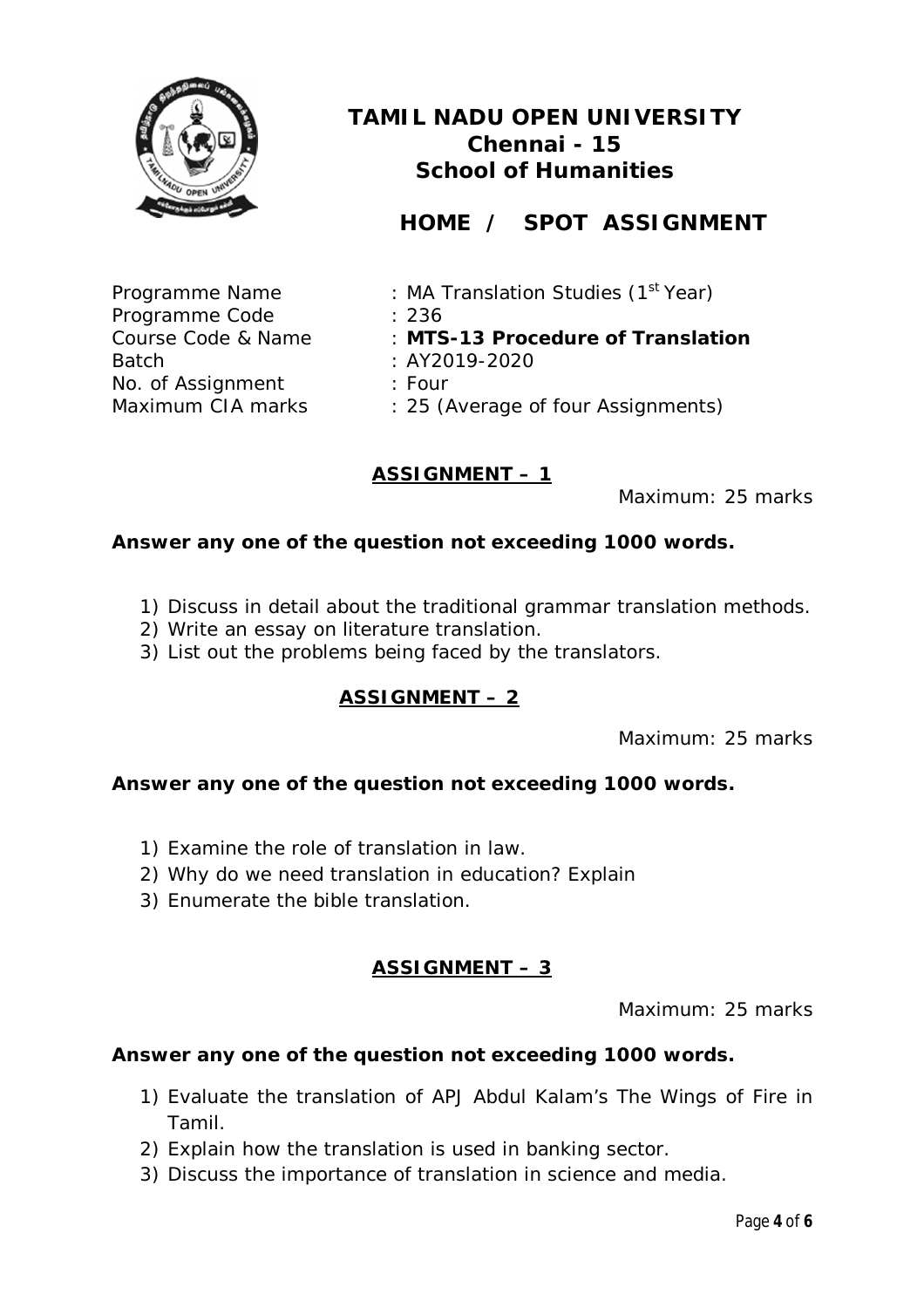

# **HOME / SPOT ASSIGNMENT**

Programme Name : MA Translation Studies (1<sup>st</sup> Year)

Programme Code : 236

Course Code & Name : **MTS-13 Procedure of Translation** 

Batch : AY2019-2020

No. of Assignment : Four

Maximum CIA marks : 25 (Average of four Assignments)

### **ASSIGNMENT – 1**

Maximum: 25 marks

#### **Answer any one of the question not exceeding 1000 words.**

- 1) Discuss in detail about the traditional grammar translation methods.
- 2) Write an essay on literature translation.
- 3) List out the problems being faced by the translators.

### **ASSIGNMENT – 2**

Maximum: 25 marks

#### **Answer any one of the question not exceeding 1000 words.**

- 1) Examine the role of translation in law.
- 2) Why do we need translation in education? Explain
- 3) Enumerate the bible translation.

### **ASSIGNMENT – 3**

Maximum: 25 marks

- 1) Evaluate the translation of APJ Abdul Kalam's *The Wings of Fire* in Tamil.
- 2) Explain how the translation is used in banking sector.
- 3) Discuss the importance of translation in science and media.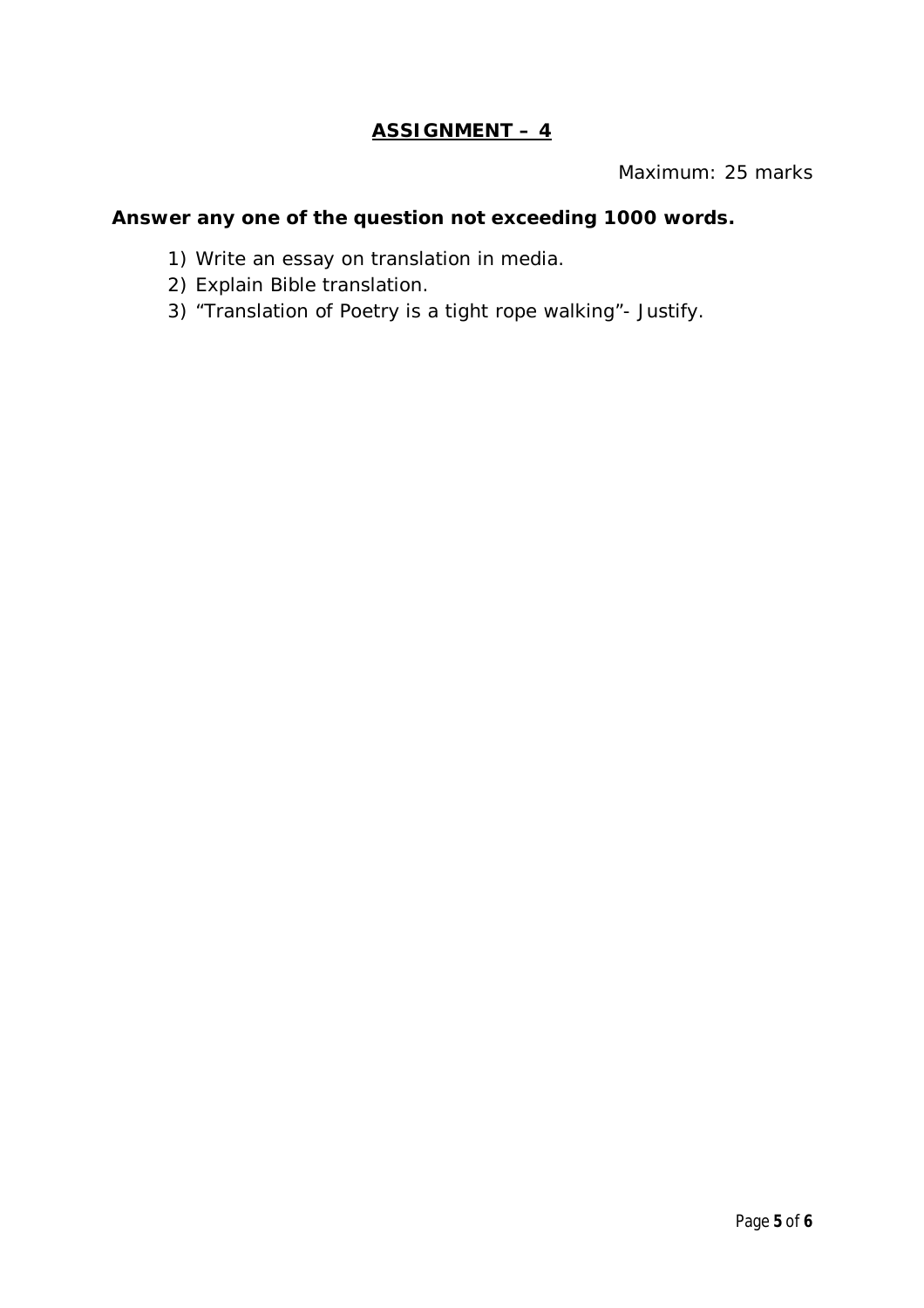### **ASSIGNMENT – 4**

Maximum: 25 marks

- 1) Write an essay on translation in media.
- 2) Explain Bible translation.
- 3) "Translation of Poetry is a tight rope walking"- Justify.